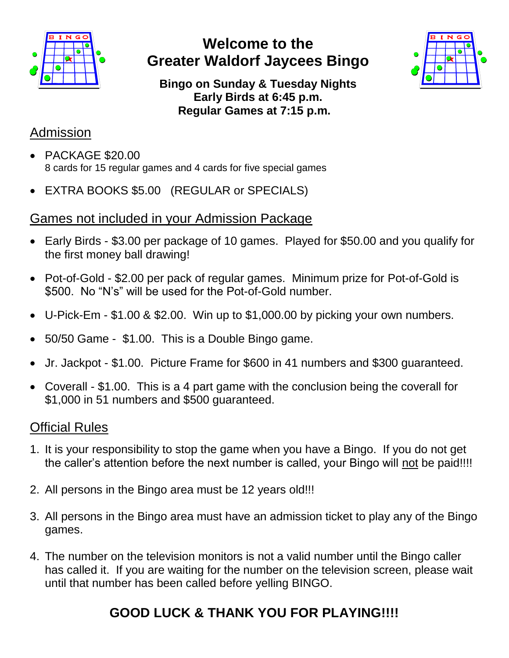

## **Welcome to the Greater Waldorf Jaycees Bingo**



**Bingo on Sunday & Tuesday Nights Early Birds at 6:45 p.m. Regular Games at 7:15 p.m.**

#### Admission

- PACKAGE \$20.00 8 cards for 15 regular games and 4 cards for five special games
- EXTRA BOOKS \$5.00 (REGULAR or SPECIALS)

#### Games not included in your Admission Package

- Early Birds \$3.00 per package of 10 games. Played for \$50.00 and you qualify for the first money ball drawing!
- Pot-of-Gold \$2.00 per pack of regular games. Minimum prize for Pot-of-Gold is \$500. No "N's" will be used for the Pot-of-Gold number.
- U-Pick-Em \$1.00 & \$2.00. Win up to \$1,000.00 by picking your own numbers.
- 50/50 Game \$1.00. This is a Double Bingo game.
- Jr. Jackpot \$1.00. Picture Frame for \$600 in 41 numbers and \$300 guaranteed.
- Coverall \$1.00. This is a 4 part game with the conclusion being the coverall for \$1,000 in 51 numbers and \$500 guaranteed.

#### Official Rules

- 1. It is your responsibility to stop the game when you have a Bingo. If you do not get the caller's attention before the next number is called, your Bingo will not be paid!!!!
- 2. All persons in the Bingo area must be 12 years old!!!
- 3. All persons in the Bingo area must have an admission ticket to play any of the Bingo games.
- 4. The number on the television monitors is not a valid number until the Bingo caller has called it. If you are waiting for the number on the television screen, please wait until that number has been called before yelling BINGO.

# **GOOD LUCK & THANK YOU FOR PLAYING!!!!**